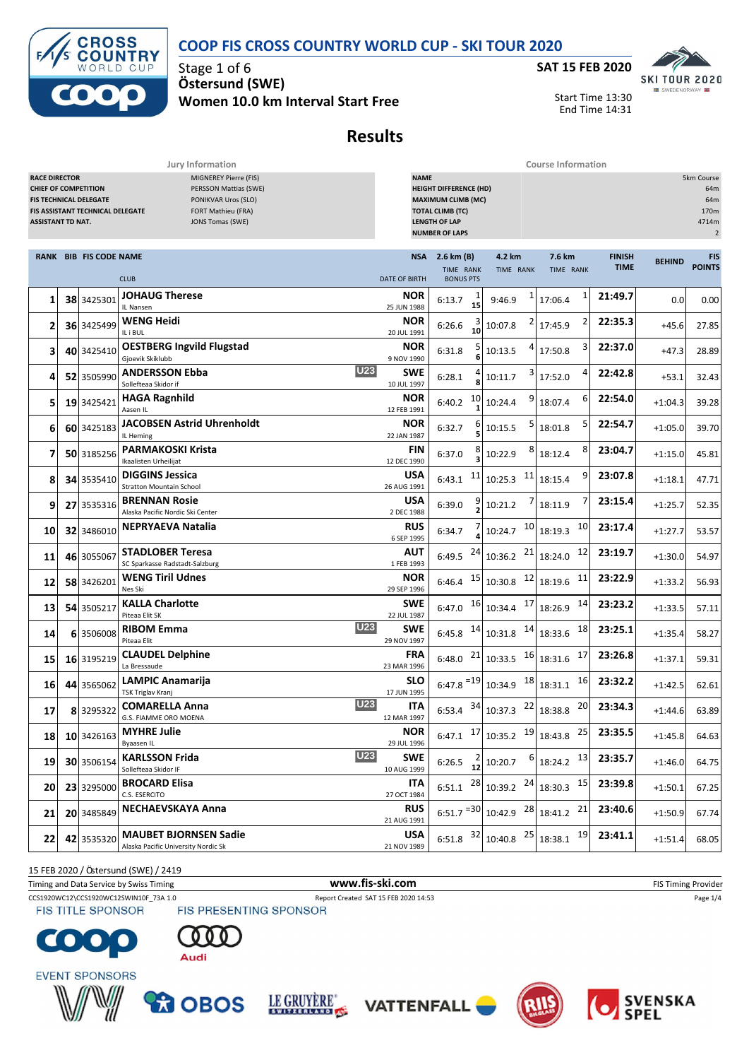#### **COOP FIS CROSS COUNTRY WORLD CUP - SKI TOUR 2020**



Stage 1 of 6 **Ö stersund (SWE) Women 10.0 km Interval Start Free**



Start Time 13:30 End Time 14:31

# **Results**

**Jury Information Course Information**

| <b>RACE DIRECTOR</b><br>MIGNEREY Pierre (FIS)<br>PERSSON Mattias (SWE)<br><b>CHIEF OF COMPETITION</b><br>PONIKVAR Uros (SLO)<br><b>FIS TECHNICAL DELEGATE</b><br><b>FIS ASSISTANT TECHNICAL DELEGATE</b><br>FORT Mathieu (FRA)<br><b>ASSISTANT TD NAT.</b><br>JONS Tomas (SWE) |  |                               |                                                                     | <b>NAME</b><br>5km Course<br><b>HEIGHT DIFFERENCE (HD)</b><br>64m<br><b>MAXIMUM CLIMB (MC)</b><br>64m<br><b>TOTAL CLIMB (TC)</b><br>170m<br><b>LENGTH OF LAP</b><br>4714m<br><b>NUMBER OF LAPS</b><br>$\overline{2}$ |                                                        |                                                 |                            |                              |               |                             |  |  |
|--------------------------------------------------------------------------------------------------------------------------------------------------------------------------------------------------------------------------------------------------------------------------------|--|-------------------------------|---------------------------------------------------------------------|----------------------------------------------------------------------------------------------------------------------------------------------------------------------------------------------------------------------|--------------------------------------------------------|-------------------------------------------------|----------------------------|------------------------------|---------------|-----------------------------|--|--|
|                                                                                                                                                                                                                                                                                |  | <b>RANK BIB FIS CODE NAME</b> | <b>CLUB</b>                                                         | <b>NSA</b><br><b>DATE OF BIRTH</b>                                                                                                                                                                                   | 2.6 km (B)<br>TIME RANK<br><b>BONUS PTS</b>            | 4.2 km<br>TIME RANK                             | 7.6 km<br>TIME RANK        | <b>FINISH</b><br><b>TIME</b> | <b>BEHIND</b> | <b>FIS</b><br><b>POINTS</b> |  |  |
| 1                                                                                                                                                                                                                                                                              |  | 38 3425301                    | <b>JOHAUG Therese</b><br>IL Nansen                                  | NOR<br>25 JUN 1988                                                                                                                                                                                                   | 6:13.7<br>15                                           | 9:46.9                                          | 1<br>17:06.4               | 21:49.7                      | 0.0           | 0.00                        |  |  |
| 2                                                                                                                                                                                                                                                                              |  | 36 3425499                    | WENG Heidi<br>IL i BUL                                              | NOR<br>20 JUL 1991                                                                                                                                                                                                   | $\frac{3}{10}$<br>6:26.6                               | 10:07.8                                         | 2<br>17:45.9               | 22:35.3                      | $+45.6$       | 27.85                       |  |  |
| З                                                                                                                                                                                                                                                                              |  | 40 3425410                    | <b>OESTBERG Ingvild Flugstad</b><br>Gjoevik Skiklubb                | <b>NOR</b><br>9 NOV 1990                                                                                                                                                                                             | 5<br>6:31.8                                            | 10:13.5                                         | 3<br>17:50.8               | 22:37.0                      | $+47.3$       | 28.89                       |  |  |
| 4                                                                                                                                                                                                                                                                              |  | 52 3505990                    | <b>U23</b><br><b>ANDERSSON Ebba</b><br>Sollefteaa Skidor if         | SWE<br>10 JUL 1997                                                                                                                                                                                                   | 6:28.1                                                 | 3<br>10:11.7                                    | 4<br>17:52.0               | 22:42.8                      | $+53.1$       | 32.43                       |  |  |
| 5                                                                                                                                                                                                                                                                              |  | 19 3425421                    | <b>HAGA Ragnhild</b><br>Aasen IL                                    | NOR<br>12 FEB 1991                                                                                                                                                                                                   | 10<br>6:40.2                                           | 9<br>10:24.4                                    | 6<br>18:07.4               | 22:54.0                      | $+1:04.3$     | 39.28                       |  |  |
| 6                                                                                                                                                                                                                                                                              |  | 60 3425183                    | <b>JACOBSEN Astrid Uhrenholdt</b><br>IL Heming                      | NOR<br>22 JAN 1987                                                                                                                                                                                                   | 6<br>6:32.7                                            | 10:15.5                                         | 5<br>18:01.8               | 22:54.7                      | $+1:05.0$     | 39.70                       |  |  |
| 7                                                                                                                                                                                                                                                                              |  | 50 3185256                    | <b>PARMAKOSKI Krista</b><br>Ikaalisten Urheilijat                   | FIN<br>12 DEC 1990                                                                                                                                                                                                   | 8<br>6:37.0                                            | 8<br>10:22.9                                    | 8<br>18:12.4               | 23:04.7                      | $+1:15.0$     | 45.81                       |  |  |
| 8                                                                                                                                                                                                                                                                              |  | 34 3535410                    | <b>DIGGINS Jessica</b><br><b>Stratton Mountain School</b>           | <b>USA</b><br>26 AUG 1991                                                                                                                                                                                            | 11<br>6:43.1                                           | 11<br>10:25.3                                   | 9<br>18:15.4               | 23:07.8                      | $+1:18.1$     | 47.71                       |  |  |
| 9                                                                                                                                                                                                                                                                              |  | 27 3535316                    | <b>BRENNAN Rosie</b><br>Alaska Pacific Nordic Ski Center            | <b>USA</b><br>2 DEC 1988                                                                                                                                                                                             | 6:39.0                                                 | 10:21.2                                         | 7<br>18:11.9               | 23:15.4                      | $+1:25.7$     | 52.35                       |  |  |
| 10                                                                                                                                                                                                                                                                             |  | 32 3486010                    | NEPRYAEVA Natalia                                                   | RUS<br>6 SEP 1995                                                                                                                                                                                                    | 6:34.7                                                 | 10<br>10:24.7                                   | 10<br>18:19.3              | 23:17.4                      | $+1:27.7$     | 53.57                       |  |  |
| 11                                                                                                                                                                                                                                                                             |  | 46 3055067                    | <b>STADLOBER Teresa</b><br>SC Sparkasse Radstadt-Salzburg           | AUT<br>1 FEB 1993                                                                                                                                                                                                    | 24<br>6:49.5                                           | 21<br>10:36.2                                   | 12<br>18:24.0              | 23:19.7                      | $+1:30.0$     | 54.97                       |  |  |
| 12                                                                                                                                                                                                                                                                             |  | 58 3426201                    | <b>WENG Tiril Udnes</b><br>Nes Ski                                  | NOR<br>29 SEP 1996                                                                                                                                                                                                   | 15<br>6:46.4                                           | 12<br>10:30.8                                   | 11<br>18:19.6              | 23:22.9                      | $+1:33.2$     | 56.93                       |  |  |
| 13                                                                                                                                                                                                                                                                             |  | 54 3505217                    | <b>KALLA Charlotte</b><br>Piteaa Elit SK                            | <b>SWE</b><br>22 JUL 1987                                                                                                                                                                                            | 6:47.0                                                 | $16$ 10:34.4 $17$                               | 14<br>18:26.9              | 23:23.2                      | $+1:33.5$     | 57.11                       |  |  |
| 14                                                                                                                                                                                                                                                                             |  | 6 3506008                     | U23<br><b>RIBOM Emma</b><br>Piteaa Elit                             | SWE<br>29 NOV 1997                                                                                                                                                                                                   | 6:45.8                                                 | $14$ 10:31.8 $14$ 18:33.6                       | 18                         | 23:25.1                      | $+1:35.4$     | 58.27                       |  |  |
| 15                                                                                                                                                                                                                                                                             |  | 16 3195219                    | <b>CLAUDEL Delphine</b><br>La Bressaude                             | <b>FRA</b><br>23 MAR 1996                                                                                                                                                                                            | 21<br>6:48.0                                           | $10:33.5$ $16$ 18:31.6                          | 17                         | 23:26.8                      | $+1:37.1$     | 59.31                       |  |  |
| 16                                                                                                                                                                                                                                                                             |  | 44 3565062                    | <b>LAMPIC Anamarija</b><br>TSK Triglav Kranj                        | <b>SLO</b><br>17 JUN 1995                                                                                                                                                                                            | $6:47.8$ <sup>=19</sup>                                | 18<br>10:34.9                                   | 16<br>18:31.1              | 23:32.2                      | $+1:42.5$     | 62.61                       |  |  |
| 17                                                                                                                                                                                                                                                                             |  | 8 3295322                     | <b>U23</b><br><b>COMARELLA Anna</b><br>G.S. FIAMME ORO MOENA        | <b>ITA</b><br>12 MAR 1997                                                                                                                                                                                            | 34<br>6:53.4                                           | 10:37.3                                         | 20<br>$22$ 18:38.8         | 23:34.3                      | $+1:44.6$     | 63.89                       |  |  |
| 18                                                                                                                                                                                                                                                                             |  | 10 3426163                    | <b>MYHRE Julie</b><br>Byaasen IL                                    | <b>NOR</b><br>29 JUL 1996                                                                                                                                                                                            |                                                        | 6:47.1 $17   10:35.2 19   18:43.8$              | 25                         | 23:35.5                      | $+1:45.8$     | 64.63                       |  |  |
| 19 <sub>l</sub>                                                                                                                                                                                                                                                                |  | 30 3506154                    | <b>U23</b><br><b>KARLSSON Frida</b><br>Sollefteaa Skidor IF         | <b>SWE</b><br>10 AUG 1999                                                                                                                                                                                            | 6:26.5 $\begin{bmatrix} 2 \\ 12 \end{bmatrix}$ 10:20.7 |                                                 | $6 \overline{)18:24.2}$ 13 | 23:35.7                      | $+1:46.0$     | 64.75                       |  |  |
| <b>20</b>                                                                                                                                                                                                                                                                      |  | 23 3295000                    | <b>BROCARD Elisa</b><br>C.S. ESERCITO                               | <b>ITA</b><br>27 OCT 1984                                                                                                                                                                                            |                                                        | 6:51.1 $^{28}$ 10:39.2 $^{24}$ 18:30.3 15       |                            | 23:39.8                      | $+1:50.1$     | 67.25                       |  |  |
| 21                                                                                                                                                                                                                                                                             |  | 20 3485849                    | <b>NECHAEVSKAYA Anna</b>                                            | <b>RUS</b><br>21 AUG 1991                                                                                                                                                                                            |                                                        | 6:51.7 $^{-30}$ 10:42.9 $^{28}$ 18:41.2 $^{21}$ |                            | 23:40.6                      | $+1:50.9$     | 67.74                       |  |  |
| 22                                                                                                                                                                                                                                                                             |  | 42 3535320                    | <b>MAUBET BJORNSEN Sadie</b><br>Alaska Pacific University Nordic Sk | <b>USA</b><br>21 NOV 1989                                                                                                                                                                                            |                                                        | 6:51.8 $32   10:40.8$ $25   18:38.1$ 19         |                            | 23:41.1                      | $+1:51.4$     | 68.05                       |  |  |

15 FEB 2020 / Östersund (SWE) / 2419

Timing and Data Service by Swiss Timing **WWW.fis-Ski.com WWW.fis-Ski.com** FIS Timing Provider

CCS1920WC12\CCS1920WC12SWIN10F\_73A 1.0 Report Created SAT 15 FEB 2020 14:53 Page 1/4<br>
FIS TITLE SPONSOR FIS PRESENTING SPONSOR

**FIS TITLE SPONSOR** 













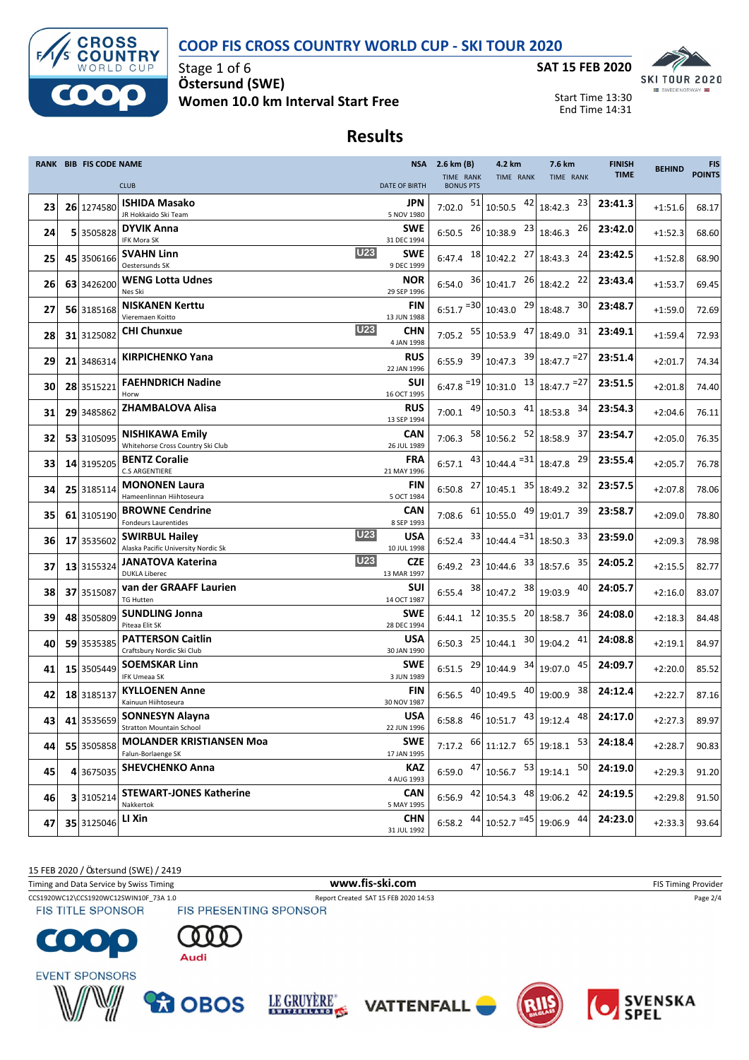### **COOP FIS CROSS COUNTRY WORLD CUP - SKI TOUR 2020**



Stage 1 of 6 **Ö stersund (SWE) Women 10.0 km Interval Start Free**



Start Time 13:30 End Time 14:31

## **Results**

|    | <b>RANK BIB FIS CODE NAME</b> |                                                                               |                           | NSA 2.6 km (B)                                    | 4.2 km                                                                                             | 7.6 km                                                                                                                     | <b>FINISH</b> | <b>BEHIND</b> | <b>FIS</b>    |
|----|-------------------------------|-------------------------------------------------------------------------------|---------------------------|---------------------------------------------------|----------------------------------------------------------------------------------------------------|----------------------------------------------------------------------------------------------------------------------------|---------------|---------------|---------------|
|    |                               | <b>CLUB</b>                                                                   | <b>DATE OF BIRTH</b>      | TIME RANK<br><b>BONUS PTS</b>                     | TIME RANK                                                                                          | TIME RANK                                                                                                                  | <b>TIME</b>   |               | <b>POINTS</b> |
| 23 | 26 1274580                    | <b>ISHIDA Masako</b><br>JR Hokkaido Ski Team                                  | JPN<br>5 NOV 1980         | 7:02.0 $51$ 10:50.5                               | 42                                                                                                 | 23<br>18:42.3                                                                                                              | 23:41.3       | $+1:51.6$     | 68.17         |
| 24 | 5 3505828                     | <b>DYVIK Anna</b><br>IFK Mora SK                                              | <b>SWE</b><br>31 DEC 1994 |                                                   | 6:50.5 $^{26}$ 10:38.9 $^{23}$                                                                     | 26<br>18:46.3                                                                                                              | 23:42.0       | $+1:52.3$     | 68.60         |
| 25 | 45 3506166                    | <b>U23</b><br><b>SVAHN Linn</b><br>Oestersunds SK                             | <b>SWE</b><br>9 DEC 1999  | 6:47.4 $18$ 10:42.2                               | 27                                                                                                 | 24<br>18:43.3                                                                                                              | 23:42.5       | $+1:52.8$     | 68.90         |
| 26 | 63 3426200                    | <b>WENG Lotta Udnes</b><br>Nes Ski                                            | NOR<br>29 SEP 1996        | 6:54.0 $36$ 10:41.7                               |                                                                                                    | 26 18:42.2<br>22                                                                                                           | 23:43.4       | $+1:53.7$     | 69.45         |
| 27 | 56 3185168                    | <b>NISKANEN Kerttu</b><br>Vieremaen Koitto                                    | FIN                       | $6:51.7$ <sup>=30</sup> 10:43.0                   |                                                                                                    | $29$ 18:48.7<br>30                                                                                                         | 23:48.7       | $+1:59.0$     | 72.69         |
| 28 | 31 3125082                    | <b>U23</b><br><b>CHI Chunxue</b>                                              | 13 JUN 1988<br><b>CHN</b> | 7:05.2 $55 \mid 10:53.9$                          | 47                                                                                                 | 31<br>18:49.0                                                                                                              | 23:49.1       | $+1:59.4$     | 72.93         |
| 29 | 21 3486314                    | <b>KIRPICHENKO Yana</b>                                                       | 4 JAN 1998<br><b>RUS</b>  |                                                   | 6:55.9 $39 \mid 10:47.3$ $39 \mid 18:47.7$ = 27                                                    |                                                                                                                            | 23:51.4       | $+2:01.7$     | 74.34         |
| 30 | 28 3515221                    | <b>FAEHNDRICH Nadine</b>                                                      | 22 JAN 1996<br><b>SUI</b> | $6:47.8$ <sup>=19</sup> 10:31.0                   |                                                                                                    | $\frac{13}{18:47.7}$ = 27                                                                                                  | 23:51.5       | $+2:01.8$     | 74.40         |
| 31 | 29 3485862                    | Horw<br><b>ZHAMBALOVA Alisa</b>                                               | 16 OCT 1995<br><b>RUS</b> | 7:00.1 $49 \mid 10:50.3$                          |                                                                                                    | $41$ 18:53.8<br>34                                                                                                         | 23:54.3       | $+2:04.6$     | 76.11         |
| 32 | 53 3105095                    | <b>NISHIKAWA Emily</b>                                                        | 13 SEP 1994<br>CAN        | 7:06.3                                            | 58 10:56.2                                                                                         | $\begin{array}{c c} 52 & 18:58.9 \end{array}$<br>37                                                                        | 23:54.7       | $+2:05.0$     | 76.35         |
| 33 | 14 3195205                    | Whitehorse Cross Country Ski Club<br><b>BENTZ Coralie</b>                     | 26 JUL 1989<br><b>FRA</b> | 6:57.1                                            | $43$ 10:44.4 $^{-31}$ 18:47.8                                                                      | 29                                                                                                                         | 23:55.4       | $+2:05.7$     | 76.78         |
| 34 | 25 3185114                    | <b>C.S ARGENTIERE</b><br><b>MONONEN Laura</b>                                 | 21 MAY 1996<br>FIN        |                                                   | 6:50.8 $^{27}$ 10:45.1 $^{35}$ 18:49.2                                                             | 32                                                                                                                         | 23:57.5       | $+2:07.8$     | 78.06         |
| 35 | 61 3105190                    | Hameenlinnan Hiihtoseura<br><b>BROWNE Cendrine</b>                            | 5 OCT 1984<br><b>CAN</b>  | 7:08.6 $\begin{array}{ c} 61 \end{array}$ 10:55.0 |                                                                                                    | $49$ 19:01.7<br>39                                                                                                         | 23:58.7       | $+2:09.0$     | 78.80         |
| 36 | 17 3535602                    | Fondeurs Laurentides<br><b>U23</b><br><b>SWIRBUL Hailey</b>                   | 8 SEP 1993<br><b>USA</b>  |                                                   | 6:52.4 $33 \mid 10:44.4 = 31 \mid 18:50.3$                                                         | 33                                                                                                                         | 23:59.0       | $+2:09.3$     | 78.98         |
| 37 | 13 3155324                    | Alaska Pacific University Nordic Sk<br><b>U23</b><br><b>JANATOVA Katerina</b> | 10 JUL 1998<br><b>CZE</b> |                                                   | 6:49.2 $^{23}$ 10:44.6 $^{33}$ 18:57.6                                                             | 35                                                                                                                         | 24:05.2       | $+2:15.5$     | 82.77         |
| 38 | 37 3515087                    | <b>DUKLA Liberec</b><br>van der GRAAFF Laurien                                | 13 MAR 1997<br><b>SUI</b> | $6:55.4$ $38 \mid 10:47.2$                        |                                                                                                    | 38 19:03.9<br>40                                                                                                           | 24:05.7       | $+2:16.0$     | 83.07         |
| 39 | 48 3505809                    | <b>TG Hutten</b><br><b>SUNDLING Jonna</b>                                     | 14 OCT 1987<br><b>SWE</b> |                                                   | 6:44.1 $12 \mid 10:35.5$ $20 \mid 18:58.7$                                                         | 36                                                                                                                         | 24:08.0       | $+2:18.3$     | 84.48         |
| 40 | 59 3535385                    | Piteaa Elit SK<br><b>PATTERSON Caitlin</b>                                    | 28 DEC 1994<br>USA        | 6:50.3                                            | $25$ 10:44.1                                                                                       | 30 19:04.2<br>41                                                                                                           | 24:08.8       | $+2:19.1$     | 84.97         |
| 41 | 15 3505449                    | Craftsbury Nordic Ski Club<br><b>SOEMSKAR Linn</b>                            | 30 JAN 1990<br><b>SWE</b> | $6:51.5$ $^{29}$ 10:44.9                          |                                                                                                    | $34$ 19:07.0<br>45                                                                                                         | 24:09.7       | $+2:20.0$     | 85.52         |
| 42 | 18 3185137                    | <b>IFK Umeaa SK</b><br><b>KYLLOENEN Anne</b>                                  | 3 JUN 1989<br>FIN         |                                                   | 6:56.5 $\begin{bmatrix} 40 \\ 10:49.5 \end{bmatrix}$ $\begin{bmatrix} 40 \\ 19:00.9 \end{bmatrix}$ | 38                                                                                                                         | 24:12.4       | $+2:22.7$     | 87.16         |
| 43 |                               | Kainuun Hiihtoseura<br>41 3535659 SONNESYN Alayna                             | 30 NOV 1987<br><b>USA</b> |                                                   |                                                                                                    | 6:58.8 $46 \begin{bmatrix} 40.51.7 & 43 \\ 10.51.7 & 43 \end{bmatrix}$ 19:12.4 $48 \begin{bmatrix} 48 \\ 49 \end{bmatrix}$ | 24:17.0       | $+2:27.3$     | 89.97         |
| 44 | 55 3505858                    | Stratton Mountain School<br><b>MOLANDER KRISTIANSEN Moa</b>                   | 22 JUN 1996<br><b>SWE</b> |                                                   | 7:17.2 $^{66}$ 11:12.7 $^{65}$ 19:18.1                                                             | 53                                                                                                                         | 24:18.4       | $+2:28.7$     | 90.83         |
| 45 | 4 3675035                     | Falun-Borlaenge SK<br><b>SHEVCHENKO Anna</b>                                  | 17 JAN 1995<br>KAZ        |                                                   | 6:59.0 $\left.47\right $ 10:56.7 $\left.53\right $ 19:14.1                                         | 50                                                                                                                         | 24:19.0       | $+2:29.3$     | 91.20         |
| 46 | 3 3105214                     | <b>STEWART-JONES Katherine</b>                                                | 4 AUG 1993<br><b>CAN</b>  |                                                   | 6:56.9 $\begin{bmatrix} 42 \\ 10:54.3 \end{bmatrix}$ 48 19:06.2                                    | 42                                                                                                                         | 24:19.5       | $+2:29.8$     | 91.50         |
| 47 | 35 3125046                    | Nakkertok<br>LI Xin                                                           | 5 MAY 1995<br><b>CHN</b>  | 44<br>6:58.2                                      | $10:52.7$ <sup>=45</sup> 19:06.9                                                                   | 44                                                                                                                         | 24:23.0       | $+2:33.3$     | 93.64         |
|    |                               |                                                                               | 31 JUL 1992               |                                                   |                                                                                                    |                                                                                                                            |               |               |               |

15 FEB 2020 / Östersund (SWE) / 2419

Timing and Data Service by Swiss Timing **WWW.fis-Ski.com WWW.fis-Ski.com** FIS Timing Provider

CCS1920WC12\CCS1920WC12SWIN10F\_73A 1.0 Report Created SAT 15 FEB 2020 14:53 Page 2/4<br>
FIS TITLE SPONSOR FIS PRESENTING SPONSOR **FIS TITLE SPONSOR** 















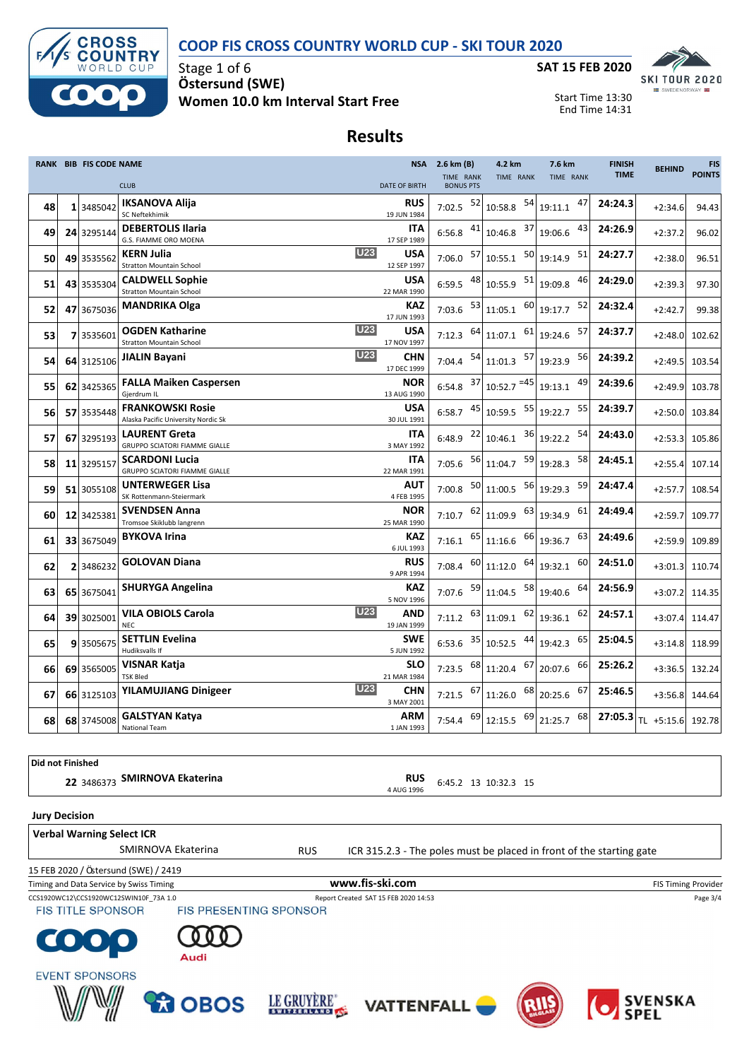### **COOP FIS CROSS COUNTRY WORLD CUP - SKI TOUR 2020**



Stage 1 of 6 **Ö stersund (SWE) Women 10.0 km Interval Start Free**



Start Time 13:30 End Time 14:31

### **Results**

|    | RANK BIB FIS CODE NAME |                                                                         |                           | NSA 2.6 km (B)                | 4.2 km                                        | 7.6 km             | <b>FINISH</b> | <b>BEHIND</b> | <b>FIS</b>    |
|----|------------------------|-------------------------------------------------------------------------|---------------------------|-------------------------------|-----------------------------------------------|--------------------|---------------|---------------|---------------|
|    |                        | <b>CLUB</b>                                                             | <b>DATE OF BIRTH</b>      | TIME RANK<br><b>BONUS PTS</b> | TIME RANK                                     | TIME RANK          | <b>TIME</b>   |               | <b>POINTS</b> |
| 48 | 1 3485042              | <b>IKSANOVA Alija</b><br>SC Neftekhimik                                 | <b>RUS</b><br>19 JUN 1984 | 52<br>7:02.5                  | 54<br>10:58.8                                 | 47<br>19:11.1      | 24:24.3       | $+2:34.6$     | 94.43         |
| 49 | 24 3295144             | <b>DEBERTOLIS Ilaria</b><br>G.S. FIAMME ORO MOENA                       | <b>ITA</b><br>17 SEP 1989 | $6:56.8$ $41$                 | 10:46.8                                       | 43<br>$37$ 19:06.6 | 24:26.9       | $+2:37.2$     | 96.02         |
| 50 | 49 3535562             | <b>U23</b><br><b>KERN Julia</b><br><b>Stratton Mountain School</b>      | <b>USA</b><br>12 SEP 1997 | 57<br>7:06.0                  | 50<br>10:55.1                                 | 51<br>19:14.9      | 24:27.7       | $+2:38.0$     | 96.51         |
| 51 | 43 3535304             | <b>CALDWELL Sophie</b><br>Stratton Mountain School                      | <b>USA</b><br>22 MAR 1990 | 48<br>6:59.5                  | 10:55.9                                       | 46<br>51 19:09.8   | 24:29.0       | $+2:39.3$     | 97.30         |
| 52 | 47 3675036             | <b>MANDRIKA Olga</b>                                                    | <b>KAZ</b><br>17 JUN 1993 | 7:03.6                        | $\begin{array}{c c} 53 & 11:05.1 \end{array}$ | 52<br>$60$ 19:17.7 | 24:32.4       | $+2:42.7$     | 99.38         |
| 53 | 7 3535601              | <b>U23</b><br><b>OGDEN Katharine</b><br><b>Stratton Mountain School</b> | <b>USA</b><br>17 NOV 1997 | 64<br>7:12.3                  | $11:07.1$ 61                                  | 57<br>19:24.6      | 24:37.7       | $+2:48.0$     | 102.62        |
| 54 | 64 3125106             | <b>U23</b><br>JIALIN Bayani                                             | <b>CHN</b><br>17 DEC 1999 | 7:04.4                        | $54$ 11:01.3                                  | 57 19:23.9<br>56   | 24:39.2       | $+2:49.5$     | 103.54        |
| 55 | 62 3425365             | <b>FALLA Maiken Caspersen</b><br>Gierdrum IL                            | <b>NOR</b><br>13 AUG 1990 | 6:54.8                        | $37$ 10:52.7 = 45 19:13.1                     | 49                 | 24:39.6       | $+2:49.9$     | 103.78        |
| 56 | 57 3535448             | <b>FRANKOWSKI Rosie</b><br>Alaska Pacific University Nordic Sk          | USA<br>30 JUL 1991        | 45<br>6:58.7                  | 10:59.5 55                                    | 55<br>19:22.7      | 24:39.7       | $+2:50.0$     | 103.84        |
| 57 | 67 3295193             | <b>LAURENT Greta</b><br>GRUPPO SCIATORI FIAMME GIALLE                   | <b>ITA</b><br>3 MAY 1992  | 22<br>6:48.9                  | 36<br>10:46.1                                 | 54<br>19:22.2      | 24:43.0       | $+2:53.3$     | 105.86        |
| 58 | 11 3295157             | <b>SCARDONI Lucia</b><br>GRUPPO SCIATORI FIAMME GIALLE                  | <b>ITA</b><br>22 MAR 1991 | 7:05.6                        | 56 11:04.7                                    | 59 19:28.3<br>58   | 24:45.1       | $+2:55.4$     | 107.14        |
| 59 | 51 3055108             | <b>UNTERWEGER Lisa</b><br>SK Rottenmann-Steiermark                      | AUT<br>4 FEB 1995         | 50<br>7:00.8                  | 56<br>11:00.5                                 | 59<br>19:29.3      | 24:47.4       | $+2:57.7$     | 108.54        |
| 60 | 12 3425381             | <b>SVENDSEN Anna</b><br>Tromsoe Skiklubb langrenn                       | <b>NOR</b><br>25 MAR 1990 | 62<br>7:10.7                  | 63<br>11:09.9                                 | 61<br>19:34.9      | 24:49.4       | $+2:59.7$     | 109.77        |
| 61 | 33 3675049             | <b>BYKOVA Irina</b>                                                     | <b>KAZ</b><br>6 JUL 1993  | 7:16.1                        | $65$ 11:16.6<br>66                            | 63<br>19:36.7      | 24:49.6       | $+2:59.9$     | 109.89        |
| 62 | 2 3486232              | <b>GOLOVAN Diana</b>                                                    | <b>RUS</b><br>9 APR 1994  |                               | 7:08.4 $^{60}$ 11:12.0<br>64                  | 60<br>19:32.1      | 24:51.0       | $+3:01.3$     | 110.74        |
| 63 | 65 3675041             | <b>SHURYGA Angelina</b>                                                 | KAZ<br>5 NOV 1996         | 59<br>7:07.6                  | 58<br>11:04.5                                 | 64<br>19:40.6      | 24:56.9       | $+3:07.2$     | 114.35        |
| 64 | 39 3025001             | <b>U23</b><br><b>VILA OBIOLS Carola</b><br><b>NEC</b>                   | AND<br>19 JAN 1999        | 7:11.2                        | 62<br>$63$ 11:09.1                            | 62<br>19:36.1      | 24:57.1       | $+3:07.4$     | 114.47        |
| 65 | 9 3505675              | <b>SETTLIN Evelina</b><br>Hudiksvalls If                                | <b>SWE</b><br>5 JUN 1992  | 35<br>6:53.6                  | 44<br>10:52.5                                 | 65<br>19:42.3      | 25:04.5       | $+3:14.8$     | 118.99        |
| 66 | 69 3565005             | VISNAR Katja<br><b>TSK Bled</b>                                         | <b>SLO</b><br>21 MAR 1984 | 68<br>7:23.5                  | 67<br>11:20.4                                 | 66<br>20:07.6      | 25:26.2       | $+3:36.5$     | 132.24        |
| 67 | 66 3125103             | <b>U23</b><br><b>YILAMUJIANG Dinigeer</b>                               | <b>CHN</b><br>3 MAY 2001  | 67<br>7:21.5                  | 68<br>11:26.0                                 | 67<br>20:25.6      | 25:46.5       | $+3:56.8$     | 144.64        |
| 68 | 68 3745008             | <b>GALSTYAN Katya</b><br>National Team                                  | <b>ARM</b><br>1 JAN 1993  | 7:54.4 69                     | -69<br>12:15.5                                | 68<br>21:25.7      | 27:05.3       | TL +5:15.6    | 192.78        |

**Did not Finished 22** 3486373 **SMIRNOVA Ekaterina RUS**<br>4 AUG 1996 **RUS** 6:45.2 13 10:32.3 15 **Jury Decision**

**Verbal Warning Select ICR**

SMIRNOVA Ekaterina RUS ICR 315.2.3 - The poles must be placed in front of the starting gate

15 FEB 2020 / Östersund (SWE) / 2419

CCS1920WC12\CCS1920WC12SWIN10F\_73A 1.0 Report Created SAT 15 FEB 2020 14:53 Page 3/4<br>
FIS TITLE SPONSOR FIS PRESENTING SPONSOR Timing and Data Service by Swiss Timing **WWW.fis-Ski.com WWW.fis-Ski.com** FIS Timing Provider

**FIS TITLE SPONSOR**